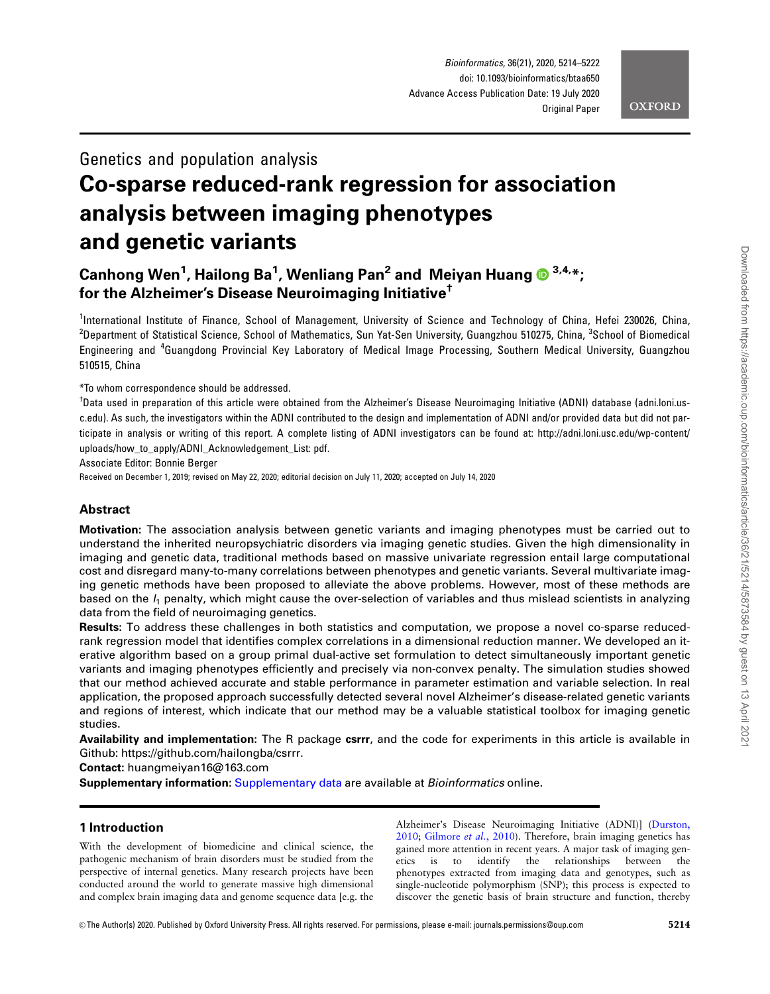# **OXFORD**

# Genetics and population analysis

# Co-sparse reduced-rank regression for association analysis between imaging phenotypes and genetic variants

# Canhong Wen<sup>1</sup>, Hailong Ba<sup>1</sup>, Wenliang Pan<sup>2</sup> and Meiyan Huang O <sup>3,4,</sup>\*; for the Alzheimer's Disease Neuroimaging Initiative†

<sup>1</sup>International Institute of Finance, School of Management, University of Science and Technology of China, Hefei 230026, China, <sup>2</sup>Department of Statistical Science, School of Mathematics, Sun Yat-Sen University, Guangzhou 510275, China, <sup>3</sup>School of Biomedical Engineering and <sup>4</sup>Guangdong Provincial Key Laboratory of Medical Image Processing, Southern Medical University, Guangzhou 510515, China

\*To whom correspondence should be addressed.

<sup>†</sup>Data used in preparation of this article were obtained from the Alzheimer's Disease Neuroimaging Initiative (ADNI) database (adni.loni.usc.edu). As such, the investigators within the ADNI contributed to the design and implementation of ADNI and/or provided data but did not participate in analysis or writing of this report. A complete listing of ADNI investigators can be found at: http://adni.loni.usc.edu/wp-content/ uploads/how\_to\_apply/ADNI\_Acknowledgement\_List: pdf.

Associate Editor: Bonnie Berger

Received on December 1, 2019; revised on May 22, 2020; editorial decision on July 11, 2020; accepted on July 14, 2020

# **Abstract**

Motivation: The association analysis between genetic variants and imaging phenotypes must be carried out to understand the inherited neuropsychiatric disorders via imaging genetic studies. Given the high dimensionality in imaging and genetic data, traditional methods based on massive univariate regression entail large computational cost and disregard many-to-many correlations between phenotypes and genetic variants. Several multivariate imaging genetic methods have been proposed to alleviate the above problems. However, most of these methods are based on the  $l_1$  penalty, which might cause the over-selection of variables and thus mislead scientists in analyzing data from the field of neuroimaging genetics.

Results: To address these challenges in both statistics and computation, we propose a novel co-sparse reducedrank regression model that identifies complex correlations in a dimensional reduction manner. We developed an iterative algorithm based on a group primal dual-active set formulation to detect simultaneously important genetic variants and imaging phenotypes efficiently and precisely via non-convex penalty. The simulation studies showed that our method achieved accurate and stable performance in parameter estimation and variable selection. In real application, the proposed approach successfully detected several novel Alzheimer's disease-related genetic variants and regions of interest, which indicate that our method may be a valuable statistical toolbox for imaging genetic studies.

Availability and implementation: The R package csrrr, and the code for experiments in this article is available in Github: [https://github.com/hailongba/csrrr.](https://github.com/hailongba/csrrr)

Contact: huangmeiyan16@163.com

Supplementary information: [Supplementary data](https://academic.oup.com/bioinformatics/article-lookup/doi/10.1093/bioinformatics/btaa650#supplementary-data) are available at *Bioinformatics* online.

# 1 Introduction

With the development of biomedicine and clinical science, the pathogenic mechanism of brain disorders must be studied from the perspective of internal genetics. Many research projects have been conducted around the world to generate massive high dimensional and complex brain imaging data and genome sequence data [e.g. the Alzheimer's Disease Neuroimaging Initiative (ADNI)] ([Durston,](#page-8-0) [2010;](#page-8-0) [Gilmore](#page-8-0) et al., 2010). Therefore, brain imaging genetics has gained more attention in recent years. A major task of imaging genetics is to identify the relationships between the phenotypes extracted from imaging data and genotypes, such as single-nucleotide polymorphism (SNP); this process is expected to discover the genetic basis of brain structure and function, thereby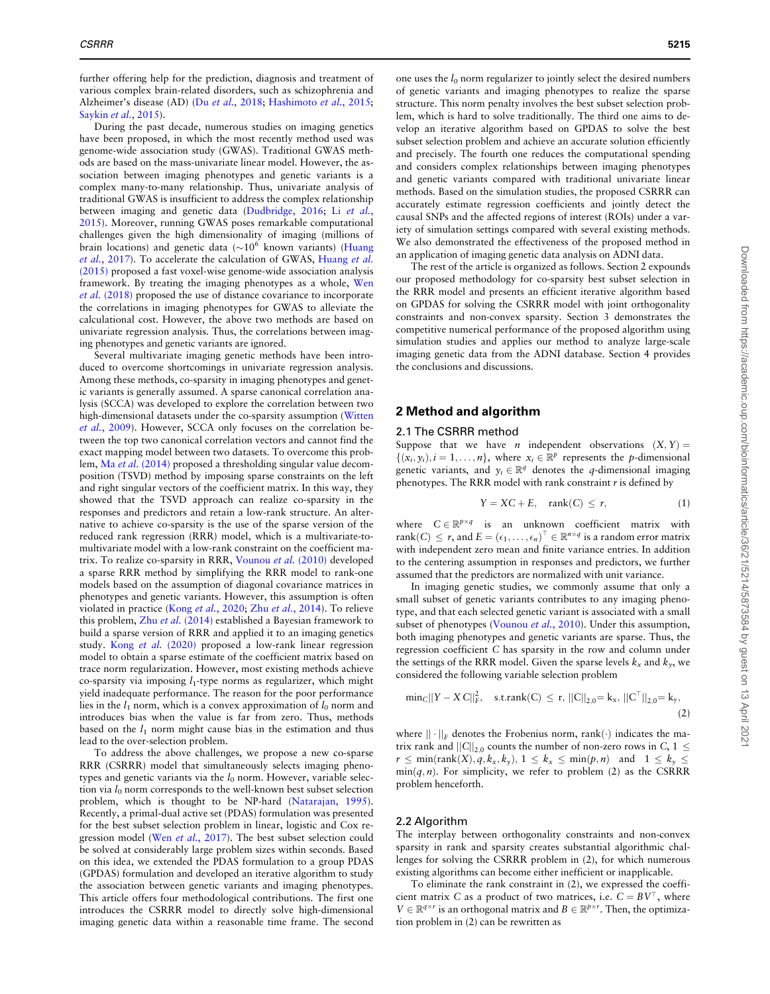further offering help for the prediction, diagnosis and treatment of various complex brain-related disorders, such as schizophrenia and Alzheimer's disease (AD) (Du et al.[, 2018;](#page-7-0) [Hashimoto](#page-8-0) et al., 2015; [Saykin](#page-8-0) et al., 2015).

During the past decade, numerous studies on imaging genetics have been proposed, in which the most recently method used was genome-wide association study (GWAS). Traditional GWAS methods are based on the mass-univariate linear model. However, the association between imaging phenotypes and genetic variants is a complex many-to-many relationship. Thus, univariate analysis of traditional GWAS is insufficient to address the complex relationship between imaging and genetic data [\(Dudbridge, 2016](#page-8-0); Li [et al.](#page-8-0), [2015\)](#page-8-0). Moreover, running GWAS poses remarkable computational challenges given the high dimensionality of imaging (millions of brain locations) and genetic data ( $\sim$ 10<sup>6</sup> known variants) ([Huang](#page-8-0) et al.[, 2017](#page-8-0)). To accelerate the calculation of GWAS, [Huang](#page-8-0) et al. [\(2015\)](#page-8-0) proposed a fast voxel-wise genome-wide association analysis framework. By treating the imaging phenotypes as a whole, [Wen](#page-8-0) et al. [\(2018\)](#page-8-0) proposed the use of distance covariance to incorporate the correlations in imaging phenotypes for GWAS to alleviate the calculational cost. However, the above two methods are based on univariate regression analysis. Thus, the correlations between imaging phenotypes and genetic variants are ignored.

Several multivariate imaging genetic methods have been introduced to overcome shortcomings in univariate regression analysis. Among these methods, co-sparsity in imaging phenotypes and genetic variants is generally assumed. A sparse canonical correlation analysis (SCCA) was developed to explore the correlation between two high-dimensional datasets under the co-sparsity assumption ([Witten](#page-8-0) et al.[, 2009](#page-8-0)). However, SCCA only focuses on the correlation between the top two canonical correlation vectors and cannot find the exact mapping model between two datasets. To overcome this problem, Ma et al. [\(2014\)](#page-8-0) proposed a thresholding singular value decomposition (TSVD) method by imposing sparse constraints on the left and right singular vectors of the coefficient matrix. In this way, they showed that the TSVD approach can realize co-sparsity in the responses and predictors and retain a low-rank structure. An alternative to achieve co-sparsity is the use of the sparse version of the reduced rank regression (RRR) model, which is a multivariate-tomultivariate model with a low-rank constraint on the coefficient matrix. To realize co-sparsity in RRR, [Vounou](#page-8-0) et al. (2010) developed a sparse RRR method by simplifying the RRR model to rank-one models based on the assumption of diagonal covariance matrices in phenotypes and genetic variants. However, this assumption is often violated in practice (Kong et al.[, 2020;](#page-8-0) Zhu et al.[, 2014](#page-8-0)). To relieve this problem,  $Zhu$  *et al.* [\(2014\)](#page-8-0) established a Bayesian framework to build a sparse version of RRR and applied it to an imaging genetics study. Kong et al. [\(2020\)](#page-8-0) proposed a low-rank linear regression model to obtain a sparse estimate of the coefficient matrix based on trace norm regularization. However, most existing methods achieve co-sparsity via imposing  $l_1$ -type norms as regularizer, which might yield inadequate performance. The reason for the poor performance lies in the  $l_1$  norm, which is a convex approximation of  $l_0$  norm and introduces bias when the value is far from zero. Thus, methods based on the  $l_1$  norm might cause bias in the estimation and thus lead to the over-selection problem.

To address the above challenges, we propose a new co-sparse RRR (CSRRR) model that simultaneously selects imaging phenotypes and genetic variants via the  $l_0$  norm. However, variable selection via  $l_0$  norm corresponds to the well-known best subset selection problem, which is thought to be NP-hard [\(Natarajan, 1995](#page-8-0)). Recently, a primal-dual active set (PDAS) formulation was presented for the best subset selection problem in linear, logistic and Cox re-gression model (Wen et al.[, 2017](#page-8-0)). The best subset selection could be solved at considerably large problem sizes within seconds. Based on this idea, we extended the PDAS formulation to a group PDAS (GPDAS) formulation and developed an iterative algorithm to study the association between genetic variants and imaging phenotypes. This article offers four methodological contributions. The first one introduces the CSRRR model to directly solve high-dimensional imaging genetic data within a reasonable time frame. The second one uses the  $l_0$  norm regularizer to jointly select the desired numbers of genetic variants and imaging phenotypes to realize the sparse structure. This norm penalty involves the best subset selection problem, which is hard to solve traditionally. The third one aims to develop an iterative algorithm based on GPDAS to solve the best subset selection problem and achieve an accurate solution efficiently and precisely. The fourth one reduces the computational spending and considers complex relationships between imaging phenotypes and genetic variants compared with traditional univariate linear methods. Based on the simulation studies, the proposed CSRRR can accurately estimate regression coefficients and jointly detect the causal SNPs and the affected regions of interest (ROIs) under a variety of simulation settings compared with several existing methods. We also demonstrated the effectiveness of the proposed method in an application of imaging genetic data analysis on ADNI data.

The rest of the article is organized as follows. Section 2 expounds our proposed methodology for co-sparsity best subset selection in the RRR model and presents an efficient iterative algorithm based on GPDAS for solving the CSRRR model with joint orthogonality constraints and non-convex sparsity. Section 3 demonstrates the competitive numerical performance of the proposed algorithm using simulation studies and applies our method to analyze large-scale imaging genetic data from the ADNI database. Section 4 provides the conclusions and discussions.

# 2 Method and algorithm

# 2.1 The CSRRR method

Suppose that we have *n* independent observations  $(X, Y) =$  $\{(x_i, y_i), i = 1, \ldots, n\}$ , where  $x_i \in \mathbb{R}^p$  represents the p-dimensional genetic variants, and  $y_i \in \mathbb{R}^q$  denotes the q-dimensional imaging phenotypes. The RRR model with rank constraint  $r$  is defined by

$$
Y = XC + E, \quad \text{rank}(C) \le r,\tag{1}
$$

where  $C \in \mathbb{R}^{p \times q}$  is an unknown coefficient matrix with rank $(C) \leq r$ , and  $E = (\epsilon_1, \ldots, \epsilon_n)^T \in \mathbb{R}^{n \times q}$  is a random error matrix<br>with independent zero mean and finite variance entries. In addition with independent zero mean and finite variance entries. In addition to the centering assumption in responses and predictors, we further assumed that the predictors are normalized with unit variance.

In imaging genetic studies, we commonly assume that only a small subset of genetic variants contributes to any imaging phenotype, and that each selected genetic variant is associated with a small subset of phenotypes [\(Vounou](#page-8-0) et al., 2010). Under this assumption, both imaging phenotypes and genetic variants are sparse. Thus, the regression coefficient C has sparsity in the row and column under the settings of the RRR model. Given the sparse levels  $k_x$  and  $k_y$ , we considered the following variable selection problem

$$
min_C ||Y - XC||_F^2, \quad s.t. rank(C) \le r, \, ||C||_{2,0} = k_x, \, ||C^{\top}||_{2,0} = k_y, \tag{2}
$$

where  $|| \cdot ||_F$  denotes the Frobenius norm, rank $(\cdot)$  indicates the matrix rank and  $||C||_{2,0}$  counts the number of non-zero rows in C,  $1 \le$  $r \leq \min(\text{rank}(X), \hat{q}, k_x, k_y), 1 \leq k_x \leq \min(p, n)$  and  $1 \leq k_y \leq$  $min(q, n)$ . For simplicity, we refer to problem (2) as the CSRRR problem henceforth.

#### 2.2 Algorithm

The interplay between orthogonality constraints and non-convex sparsity in rank and sparsity creates substantial algorithmic challenges for solving the CSRRR problem in (2), for which numerous existing algorithms can become either inefficient or inapplicable.

To eliminate the rank constraint in (2), we expressed the coefficient matrix C as a product of two matrices, i.e.  $C = BV^{\top}$ , where  $V \in \mathbb{R}^{q \times r}$  is an orthogonal matrix and  $B \in \mathbb{R}^{p \times r}$ . Then, the optimization problem in (2) can be rewritten as tion problem in (2) can be rewritten as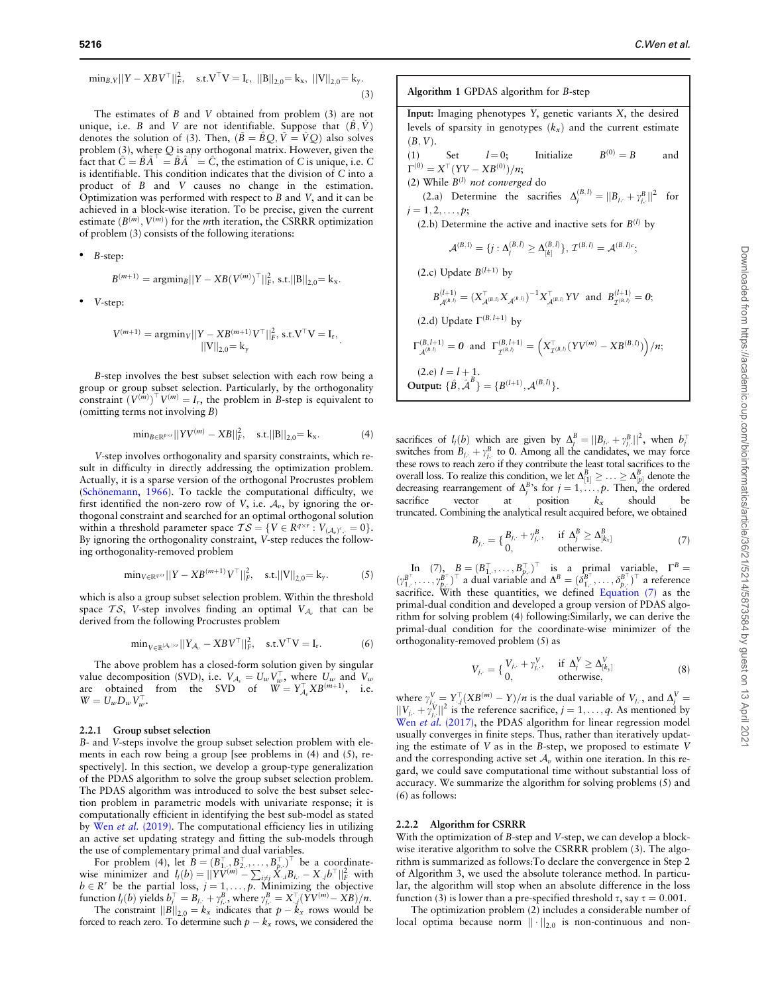$$
\min_{B,V} ||Y - XBV^{\top}||_F^2, \quad s.t. V^{\top}V = I_r, \ ||B||_{2,0} = k_x, \ ||V||_{2,0} = k_y.
$$
\n(3)

The estimates of B and V obtained from problem (3) are not unique, i.e. B and V are not identifiable. Suppose that  $(\hat{B}, \hat{V})$ denotes the solution of (3). Then,  $(\tilde{B} = \tilde{B}Q, \tilde{V} = \tilde{V}Q)$  also solves problem (3), where Q is any orthogonal matrix. However, given the fact that  $\tilde{C} = \tilde{B}\tilde{A}^{\perp} = \hat{B}\tilde{A}^{\perp} = \hat{C}$ , the estimation of C is unique, i.e. C is identifiable. This condition indicates that the division of C into a product of B and V causes no change in the estimation. Optimization was performed with respect to B and V, and it can be achieved in a block-wise iteration. To be precise, given the current estimate  $(B^{(m)}, V^{(m)})$  for the mth iteration, the CSRRR optimization of problem (3) consists of the following iterations:

• B-step:

$$
B^{(m+1)} = \text{argmin}_{B} ||Y - XB(V^{(m)})^{\top}||_{F}^{2}, \text{ s.t.} ||B||_{2,0} = k_{x}.
$$

V-step:

$$
V^{(m+1)} = \operatorname{argmin}_{V} ||Y - XB^{(m+1)}V^{\top}||_F^2, \text{ s.t. } V^{\top}V = I_r,
$$
  

$$
||V||_{2,0} = k_y
$$

B-step involves the best subset selection with each row being a group or group subset selection. Particularly, by the orthogonality constraint  $(V^{(m)})^T V^{(m)} = I_r$ , the problem in B-step is equivalent to (omitting terms not involving B)

$$
\min_{B \in \mathbb{R}^{p \times r}} ||YV^{(m)} - XB||_F^2, \quad \text{s.t.} ||B||_{2,0} = k_x. \tag{4}
$$

:

V-step involves orthogonality and sparsity constraints, which result in difficulty in directly addressing the optimization problem. Actually, it is a sparse version of the orthogonal Procrustes problem (Schönemann, 1966). To tackle the computational difficulty, we first identified the non-zero row of V, i.e.  $A_{\nu}$ , by ignoring the orthogonal constraint and searched for an optimal orthogonal solution within a threshold parameter space  $TS = \{V \in R^{q \times r} : V_{(\mathcal{A}_v)^\epsilon} = 0\}.$ By ignoring the orthogonality constraint, V-step reduces the following orthogonality-removed problem

$$
\min_{V \in \mathbb{R}^{q \times r}} ||Y - XB^{(m+1)}V^{\top}||_F^2, \quad \text{s.t.} ||V||_{2,0} = k_y. \tag{5}
$$

which is also a group subset selection problem. Within the threshold space TS, V-step involves finding an optimal  $V_{A_v}$  that can be derived from the following Procrustes problem

$$
\min_{V \in \mathbb{R}^{|A_v| \times r}} ||Y_{A_v} - XBV^\top||_F^2, \quad \text{s.t.} \quad V^\top V = I_r. \tag{6}
$$

The above problem has a closed-form solution given by singular value decomposition (SVD), i.e.  $V_{A_v} = U_w V_w^{\top}$ , where  $U_w$  and  $V_w$ are obtained from the SVD of  $W = Y_{A_v}^{\top} X B^{(m+1)}$ , i.e.  $W = U_w D_w V_w^{\top}$ .

#### 2.2.1 Group subset selection

B- and V-steps involve the group subset selection problem with elements in each row being a group [see problems in (4) and (5), respectively]. In this section, we develop a group-type generalization of the PDAS algorithm to solve the group subset selection problem. The PDAS algorithm was introduced to solve the best subset selection problem in parametric models with univariate response; it is computationally efficient in identifying the best sub-model as stated by Wen et al. [\(2019\)](#page-8-0). The computational efficiency lies in utilizing an active set updating strategy and fitting the sub-models through the use of complementary primal and dual variables.

For problem (4), let  $\overline{B} = (B_{1}^T, B_{2}^T, \dots, B_{p}^T)^T$  be a coordinate-<br>wise minimizer and  $l_i(b) = ||YV^{(m)} - \sum_{i \neq j} X_{i}B_{i} - X_{i}b^T||_F^2$  with  $b \in R^r$  be the partial loss,  $j = 1, \dots, p$ . Minimizing the objective function  $l_j(b)$  yields  $b_j^\top = B_{j,\cdot} + \gamma_{j,\cdot}^B$ , where  $\gamma_{j,\cdot}^B = X_{\cdot,j}^\top (YV^{(m)} - XB)/n$ .

The constraint  $||B||_{2,0} = k_x$  indicates that  $p - k_x$  rows would be forced to reach zero. To determine such  $p - k_x$  rows, we considered the

Algorithm 1 GPDAS algorithm for B-step Input: Imaging phenotypes  $Y$ , genetic variants  $X$ , the desired levels of sparsity in genotypes  $(k_x)$  and the current estimate  $(B, V)$ . (1) Set  $l=0$ ; Initialize  $B^{(0)} = B$  and  $\Gamma^{(0)} = X^{\top} (YV - XB^{(0)})/n;$ (2) While  $B^{(l)}$  not converged do (2.a) Determine the sacrifies  $\Delta_j^{(B, I)} = ||B_{j, \cdot} + \gamma_{j, \cdot}^B||$ for  $j = 1, 2, \ldots, p;$ (2.b) Determine the active and inactive sets for  $B^{(l)}$  by  $\mathcal{A}^{(B, I)} = \{j: \Delta_j^{(B, I)} \geq \Delta_{[k]}^{(B, I)}\},$   $\mathcal{I}^{(B, I)} = \mathcal{A}^{(B, I)c};$ (2.c) Update  $B^{(l+1)}$  by  $B_{\mathcal{A}^{(B,1)}}^{(l+1)} = (X_{\mathcal{A}^{(B,1)}}^{\top} X_{\mathcal{A}^{(B,1)}} \mathcal{Y}^{-1} X_{\mathcal{A}^{(B,1)}}^{\top} YV \text{ and } B_{\mathcal{I}^{(B,1)}}^{(l+1)} = 0;$ (2.d) Update  $\Gamma^{(B, l+1)}$  by  $\Gamma_{\mathcal{A}^{(B, I)}}^{(B, I+1)} = 0$  and  $\Gamma_{\mathcal{I}^{(B, I)}}^{(B, I+1)} = \left( X_{\mathcal{I}^{(B, I)}}^{T} (YV^{(m)} - XB^{(B, I)}) \right) / n$ (2.e)  $l = l + 1$ . Output:  $\{\hat{B}, \hat{\mathcal{A}}^B\} = \{B^{(l+1)}, \mathcal{A}^{(B, l)}\}.$ 

sacrifices of  $l_j(b)$  which are given by  $\Delta_j^B = ||B_{j,:} + \gamma_{j,:}^B||^2$ , when  $b_j^T$ switches from  $B_{j}$ ,  $+ \gamma_{j}^{B}$  to 0. Among all the candidates, we may force these rows to reach zero if they contribute the least total sacrifices to the overall loss. To realize this condition, we let  $\Delta_{[1]}^B \ge \ldots \ge \Delta_{[p]}^B$  denote the decreasing rearrangement of  $\Delta_i^B$ 's for  $j = 1, \ldots, p$ . Then, the ordered sacrifice vector at position  $k_x$  should be truncated. Combining the analytical result acquired before, we obtained

$$
B_{j,\cdot} = \{ \begin{matrix} B_{j,\cdot} + \gamma_{j,\cdot}^B, & \text{if } \Delta_j^B \ge \Delta_{[k_x]}^B \\ 0, & \text{otherwise.} \end{matrix} \tag{7}
$$

In  $(7)$ ,  $B = (B_{1,}^{\top}, \ldots, B_{p,}^{\top})^{\top}$  is a primal variable,  $\Gamma^{B} =$  $(\gamma_1^{B^{\top}}, \ldots, \gamma_{p_i}^{B^{\top}})^{\top}$  a dual variable and  $\Delta^{B} = (\delta_{1_i}^{B^{\top}}, \ldots, \delta_{p_i}^{B^{\top}})^{\top}$  a reference sacrifice. With these quantities, we defined Equation (7) as the primal-dual condition and developed a group version of PDAS algorithm for solving problem (4) following:Similarly, we can derive the primal-dual condition for the coordinate-wise minimizer of the orthogonality-removed problem (5) as

$$
V_{j, \cdot} = \left\{ \begin{matrix} V_{j, \cdot} + \gamma_{j, \cdot}^V, & \text{if } \Delta_j^V \ge \Delta_{[k_j]}^V \\ 0, & \text{otherwise,} \end{matrix} \right. \tag{8}
$$

where  $\gamma_{i,j}^V = Y_{,j}^T (XB^{(m)} - Y)/n$  is the dual variable of  $V_{j,j}$ , and  $\Delta_j^V =$  $||V_{j,:} + \gamma_{j,:}^V||^2$  is the reference sacrifice,  $j = 1, \ldots, q$ . As mentioned by Wen et al. [\(2017\)](#page-8-0), the PDAS algorithm for linear regression model usually converges in finite steps. Thus, rather than iteratively updating the estimate of V as in the B-step, we proposed to estimate V and the corresponding active set  $A_{\nu}$  within one iteration. In this regard, we could save computational time without substantial loss of accuracy. We summarize the algorithm for solving problems (5) and (6) as follows:

#### 2.2.2 Algorithm for CSRRR

With the optimization of *B*-step and *V*-step, we can develop a blockwise iterative algorithm to solve the CSRRR problem (3). The algorithm is summarized as follows:To declare the convergence in Step 2 of Algorithm 3, we used the absolute tolerance method. In particular, the algorithm will stop when an absolute difference in the loss function (3) is lower than a pre-specified threshold  $\tau$ , say  $\tau = 0.001$ .

The optimization problem (2) includes a considerable number of local optima because norm  $\|\cdot\|_{2,0}$  is non-continuous and non-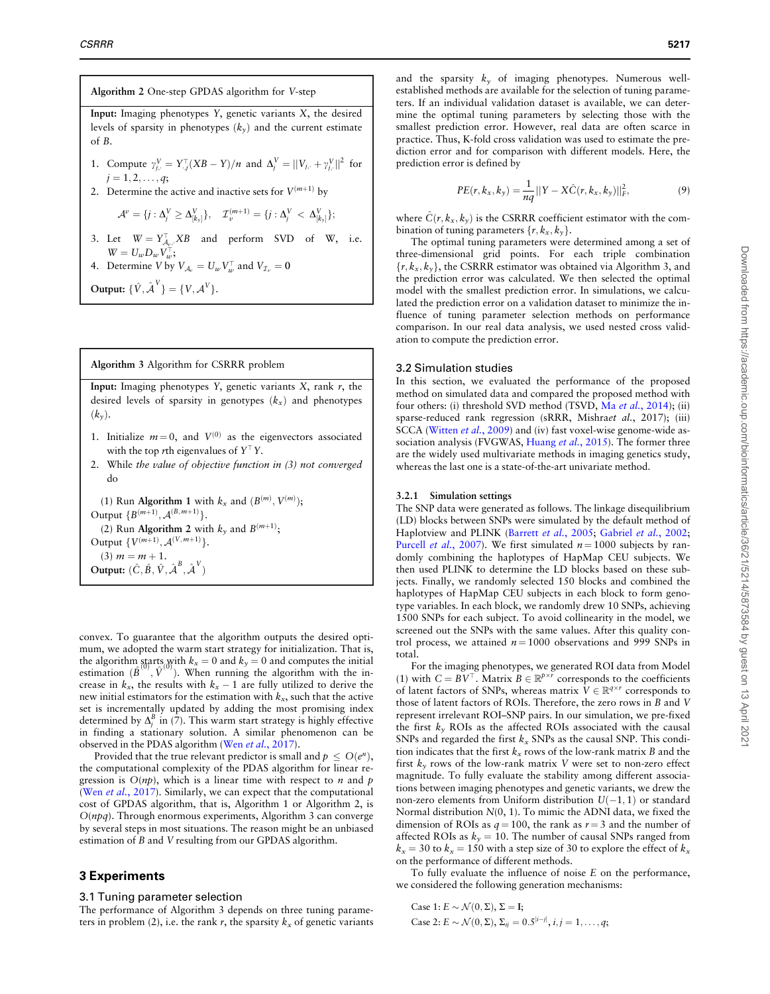# Algorithm 2 One-step GPDAS algorithm for V-step Input: Imaging phenotypes  $Y$ , genetic variants  $X$ , the desired levels of sparsity in phenotypes  $(k_y)$  and the current estimate of B. 1. Compute  $\gamma_{j,:}^V = Y_{.j}^T (XB - Y)/n$  and  $\Delta_j^V = ||V_{j,:} + \gamma_{j,:}^V||^2$  for  $j = 1, 2, \ldots, q;$ 2. Determine the active and inactive sets for  $V^{(m+1)}$  by  $\mathcal{A}^{\nu}=\{j:\Delta_{j}^V\geq \Delta_{[k_{\mathrm{y}}]}^V\},\quad \mathcal{I}^{(m+1)}_{\nu}=\{j:\Delta_{j}^V\,<\,\Delta_{[k_{\mathrm{y}}]}^V\};$ 3. Let  $W = Y_{A_v}^{\top}$ , XB and perform SVD of W, i.e.  $W = U_w D_w V_w^{\top};$ 4. Determine V by  $V_{A_v} = U_w V_w^{\top}$  and  $V_{\mathcal{I}_v} = \mathbf{0}$ Output:  $\{ \hat{V}, \hat{\mathcal{A}}^{V} \} = \{ V, \mathcal{A}^{V} \}.$

### Algorithm 3 Algorithm for CSRRR problem

Input: Imaging phenotypes Y, genetic variants  $X$ , rank  $r$ , the desired levels of sparsity in genotypes  $(k_x)$  and phenotypes  $(k_*)$ .

- 1. Initialize  $m = 0$ , and  $V^{(0)}$  as the eigenvectors associated with the top rth eigenvalues of  $Y^{\top}Y$ .
- 2. While the value of objective function in (3) not converged do

(1) Run Algorithm 1 with  $k_x$  and  $(B^{(m)}, V^{(m)})$ ; Output  $\{B^{(m+1)}, A^{(B, m+1)}\}.$ (2) Run Algorithm 2 with  $k_y$  and  $B^{(m+1)}$ ; Output  $\{V^{(m+1)}, A^{(V,m+1)}\}.$ (3)  $m = m + 1$ . Output:  $(\hat{C}, \hat{B}, \hat{V}, \hat{\lambda}^B, \hat{\lambda}^V)$ 

convex. To guarantee that the algorithm outputs the desired optimum, we adopted the warm start strategy for initialization. That is, the algorithm starts with  $k_x = 0$  and  $k_y = 0$  and computes the initial estimation  $(\hat{B}^{(0)}, \hat{V}^{(0)})$ . When running the algorithm with the increase in  $k_x$ , the results with  $k_x - 1$  are fully utilized to derive the new initial estimators for the estimation with  $k_x$ , such that the active set is incrementally updated by adding the most promising index determined by  $\Delta_j^B$  in (7). This warm start strategy is highly effective in finding a stationary solution. A similar phenomenon can be observed in the PDAS algorithm (Wen et al.[, 2017](#page-8-0)).

Provided that the true relevant predictor is small and  $p \le O(e^n)$ , the computational complexity of the PDAS algorithm for linear regression is  $O(np)$ , which is a linear time with respect to *n* and *p* (Wen et al.[, 2017\)](#page-8-0). Similarly, we can expect that the computational cost of GPDAS algorithm, that is, Algorithm 1 or Algorithm 2, is  $O(npq)$ . Through enormous experiments, Algorithm 3 can converge by several steps in most situations. The reason might be an unbiased estimation of B and V resulting from our GPDAS algorithm.

# 3 Experiments

## 3.1 Tuning parameter selection

The performance of Algorithm 3 depends on three tuning parameters in problem (2), i.e. the rank r, the sparsity  $k_x$  of genetic variants

and the sparsity  $k_y$  of imaging phenotypes. Numerous wellestablished methods are available for the selection of tuning parameters. If an individual validation dataset is available, we can determine the optimal tuning parameters by selecting those with the smallest prediction error. However, real data are often scarce in practice. Thus, K-fold cross validation was used to estimate the prediction error and for comparison with different models. Here, the prediction error is defined by

$$
PE(r, k_x, k_y) = \frac{1}{nq} ||Y - X\hat{C}(r, k_x, k_y)||_F^2,
$$
\n(9)

where  $\hat{C}(r, k_x, k_y)$  is the CSRRR coefficient estimator with the combination of tuning parameters  $\{r, k_x, k_y\}$ .

The optimal tuning parameters were determined among a set of three-dimensional grid points. For each triple combination  $\{r, k_x, k_y\}$ , the CSRRR estimator was obtained via Algorithm 3, and the prediction error was calculated. We then selected the optimal model with the smallest prediction error. In simulations, we calculated the prediction error on a validation dataset to minimize the influence of tuning parameter selection methods on performance comparison. In our real data analysis, we used nested cross validation to compute the prediction error.

# 3.2 Simulation studies

In this section, we evaluated the performance of the proposed method on simulated data and compared the proposed method with four others: (i) threshold SVD method (TSVD, Ma et al.[, 2014](#page-8-0)); (ii) sparse-reduced rank regression (sRRR, Mishraet al., 2017); (iii) SCCA [\(Witten](#page-8-0) et al., 2009) and (iv) fast voxel-wise genome-wide as-sociation analysis (FVGWAS, [Huang](#page-8-0) et al., 2015). The former three are the widely used multivariate methods in imaging genetics study, whereas the last one is a state-of-the-art univariate method.

#### 3.2.1 Simulation settings

The SNP data were generated as follows. The linkage disequilibrium (LD) blocks between SNPs were simulated by the default method of Haplotview and PLINK [\(Barrett](#page-7-0) et al., 2005; [Gabriel](#page-8-0) et al., 2002; [Purcell](#page-8-0) *et al.*, 2007). We first simulated  $n = 1000$  subjects by randomly combining the haplotypes of HapMap CEU subjects. We then used PLINK to determine the LD blocks based on these subjects. Finally, we randomly selected 150 blocks and combined the haplotypes of HapMap CEU subjects in each block to form genotype variables. In each block, we randomly drew 10 SNPs, achieving 1500 SNPs for each subject. To avoid collinearity in the model, we screened out the SNPs with the same values. After this quality control process, we attained  $n = 1000$  observations and 999 SNPs in total.

For the imaging phenotypes, we generated ROI data from Model (1) with  $C = BV^{\top}$ . Matrix  $B \in \mathbb{R}^{p \times r}$  corresponds to the coefficients of latent factors of SNPs, whereas matrix  $V \in \mathbb{R}^{q \times r}$  corresponds to those of latent factors of ROIs. Therefore, the zero rows in B and V represent irrelevant ROI–SNP pairs. In our simulation, we pre-fixed the first  $k_y$  ROIs as the affected ROIs associated with the causal SNPs and regarded the first  $k_x$  SNPs as the causal SNP. This condition indicates that the first  $k_x$  rows of the low-rank matrix B and the first  $k_v$  rows of the low-rank matrix V were set to non-zero effect magnitude. To fully evaluate the stability among different associations between imaging phenotypes and genetic variants, we drew the non-zero elements from Uniform distribution  $U(-1, 1)$  or standard Normal distribution N(0, 1). To mimic the ADNI data, we fixed the dimension of ROIs as  $q = 100$ , the rank as  $r = 3$  and the number of affected ROIs as  $k_y = 10$ . The number of causal SNPs ranged from  $k_x = 30$  to  $k_x = 150$  with a step size of 30 to explore the effect of  $k_x$ on the performance of different methods.

To fully evaluate the influence of noise E on the performance, we considered the following generation mechanisms:

Case 1:  $E \sim \mathcal{N}(0, \Sigma)$ ,  $\Sigma = I$ ; Case 2:  $E \sim \mathcal{N}(0, \Sigma)$ ,  $\Sigma_{ij} = 0.5^{|i-j|}, i, j = 1, ..., q;$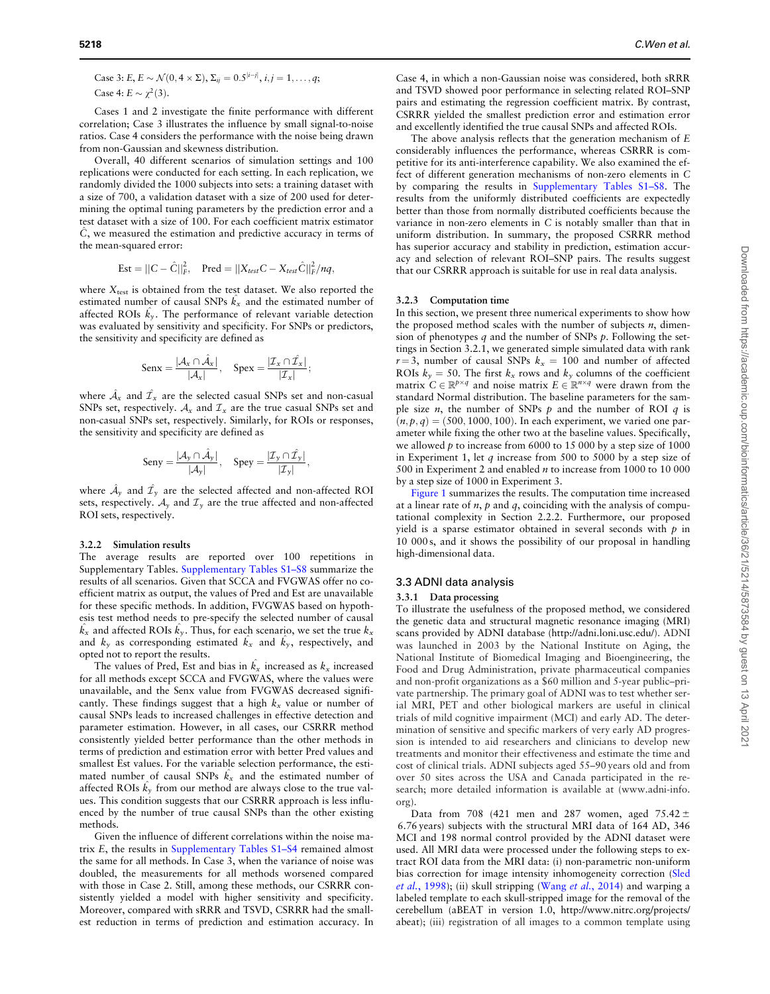Case 3: 
$$
E
$$
,  $E \sim \mathcal{N}(0, 4 \times \Sigma)$ ,  $\Sigma_{ij} = 0.5^{|i-j|}$ ,  $i, j = 1, ..., q$ ;  
Case 4:  $E \sim \chi^2(3)$ .

Cases 1 and 2 investigate the finite performance with different correlation; Case 3 illustrates the influence by small signal-to-noise ratios. Case 4 considers the performance with the noise being drawn from non-Gaussian and skewness distribution.

Overall, 40 different scenarios of simulation settings and 100 replications were conducted for each setting. In each replication, we randomly divided the 1000 subjects into sets: a training dataset with a size of 700, a validation dataset with a size of 200 used for determining the optimal tuning parameters by the prediction error and a test dataset with a size of 100. For each coefficient matrix estimator  $\hat{C}$ , we measured the estimation and predictive accuracy in terms of the mean-squared error:

$$
Est = ||C - \hat{C}||_F^2, \quad Pred = ||X_{test}C - X_{test}\hat{C}||_F^2/nq,
$$

where  $X<sub>test</sub>$  is obtained from the test dataset. We also reported the estimated number of causal SNPs  $\hat{k}_x$  and the estimated number of affected ROIs  $\hat{k}_y$ . The performance of relevant variable detection was evaluated by sensitivity and specificity. For SNPs or predictors, the sensitivity and specificity are defined as

$$
\text{Senx} = \frac{|\mathcal{A}_x \cap \hat{\mathcal{A}}_x|}{|\mathcal{A}_x|}, \quad \text{Specx} = \frac{|\mathcal{I}_x \cap \hat{\mathcal{I}}_x|}{|\mathcal{I}_x|};
$$

where  $\hat{\mathcal{A}}_x$  and  $\hat{\mathcal{I}}_x$  are the selected casual SNPs set and non-casual SNPs set, respectively.  $A_x$  and  $I_x$  are the true casual SNPs set and non-casual SNPs set, respectively. Similarly, for ROIs or responses, the sensitivity and specificity are defined as

$$
\text{Seny} = \frac{|\mathcal{A}_y \cap \hat{\mathcal{A}}_y|}{|\mathcal{A}_y|}, \quad \text{Spey} = \frac{|\mathcal{I}_y \cap \hat{\mathcal{I}}_y|}{|\mathcal{I}_y|},
$$

where  $\hat{\mathcal{A}}_y$  and  $\hat{\mathcal{I}}_y$  are the selected affected and non-affected ROI sets, respectively.  $A_v$  and  $\mathcal{I}_v$  are the true affected and non-affected ROI sets, respectively.

#### 3.2.2 Simulation results

The average results are reported over 100 repetitions in Supplementary Tables. [Supplementary Tables S1–S8](https://academic.oup.com/bioinformatics/article-lookup/doi/10.1093/bioinformatics/btaa650#supplementary-data) summarize the results of all scenarios. Given that SCCA and FVGWAS offer no coefficient matrix as output, the values of Pred and Est are unavailable for these specific methods. In addition, FVGWAS based on hypothesis test method needs to pre-specify the selected number of causal  $\hat{k_{x}}$  and affected ROIs  $\hat{k_{y}}$ . Thus, for each scenario, we set the true  $k_{x}$ and  $k_y$  as corresponding estimated  $\hat{k}_x$  and  $\hat{k}_y$ , respectively, and opted not to report the results.

The values of Pred, Est and bias in  $\hat{k}_x$  increased as  $k_x$  increased for all methods except SCCA and FVGWAS, where the values were unavailable, and the Senx value from FVGWAS decreased significantly. These findings suggest that a high  $k_x$  value or number of causal SNPs leads to increased challenges in effective detection and parameter estimation. However, in all cases, our CSRRR method consistently yielded better performance than the other methods in terms of prediction and estimation error with better Pred values and smallest Est values. For the variable selection performance, the estimated number of causal SNPs  $\hat{k}_x$  and the estimated number of affected ROIs  $\hat{k_y}$  from our method are always close to the true values. This condition suggests that our CSRRR approach is less influenced by the number of true causal SNPs than the other existing methods.

Given the influence of different correlations within the noise matrix E, the results in [Supplementary Tables S1–S4](https://academic.oup.com/bioinformatics/article-lookup/doi/10.1093/bioinformatics/btaa650#supplementary-data) remained almost the same for all methods. In Case 3, when the variance of noise was doubled, the measurements for all methods worsened compared with those in Case 2. Still, among these methods, our CSRRR consistently yielded a model with higher sensitivity and specificity. Moreover, compared with sRRR and TSVD, CSRRR had the smallest reduction in terms of prediction and estimation accuracy. In

Case 4, in which a non-Gaussian noise was considered, both sRRR and TSVD showed poor performance in selecting related ROI–SNP pairs and estimating the regression coefficient matrix. By contrast, CSRRR yielded the smallest prediction error and estimation error and excellently identified the true causal SNPs and affected ROIs.

The above analysis reflects that the generation mechanism of E considerably influences the performance, whereas CSRRR is competitive for its anti-interference capability. We also examined the effect of different generation mechanisms of non-zero elements in C by comparing the results in [Supplementary Tables S1–S8.](https://academic.oup.com/bioinformatics/article-lookup/doi/10.1093/bioinformatics/btaa650#supplementary-data) The results from the uniformly distributed coefficients are expectedly better than those from normally distributed coefficients because the variance in non-zero elements in C is notably smaller than that in uniform distribution. In summary, the proposed CSRRR method has superior accuracy and stability in prediction, estimation accuracy and selection of relevant ROI–SNP pairs. The results suggest that our CSRRR approach is suitable for use in real data analysis.

#### 3.2.3 Computation time

In this section, we present three numerical experiments to show how the proposed method scales with the number of subjects  $n$ , dimension of phenotypes q and the number of SNPs  $p$ . Following the settings in Section 3.2.1, we generated simple simulated data with rank  $r = 3$ , number of causal SNPs  $k_x = 100$  and number of affected ROIs  $k_y = 50$ . The first  $k_x$  rows and  $k_y$  columns of the coefficient matrix  $C \in \mathbb{R}^{p \times q}$  and noise matrix  $E \in \mathbb{R}^{n \times q}$  were drawn from the standard Normal distribution. The baseline parameters for the sample size *n*, the number of SNPs  $p$  and the number of ROI  $q$  is  $(n, p, q) = (500, 1000, 100)$ . In each experiment, we varied one parameter while fixing the other two at the baseline values. Specifically, we allowed  $p$  to increase from 6000 to 15 000 by a step size of 1000 in Experiment 1, let q increase from 500 to 5000 by a step size of 500 in Experiment 2 and enabled n to increase from 1000 to 10 000 by a step size of 1000 in Experiment 3.

[Figure 1](#page-5-0) summarizes the results. The computation time increased at a linear rate of  $n$ ,  $p$  and  $q$ , coinciding with the analysis of computational complexity in Section 2.2.2. Furthermore, our proposed yield is a sparse estimator obtained in several seconds with  $p$  in 10 000 s, and it shows the possibility of our proposal in handling high-dimensional data.

### 3.3 ADNI data analysis

#### 3.3.1 Data processing

To illustrate the usefulness of the proposed method, we considered the genetic data and structural magnetic resonance imaging (MRI) scans provided by ADNI database (<http://adni.loni.usc.edu/>). ADNI was launched in 2003 by the National Institute on Aging, the National Institute of Biomedical Imaging and Bioengineering, the Food and Drug Administration, private pharmaceutical companies and non-profit organizations as a \$60 million and 5-year public–private partnership. The primary goal of ADNI was to test whether serial MRI, PET and other biological markers are useful in clinical trials of mild cognitive impairment (MCI) and early AD. The determination of sensitive and specific markers of very early AD progression is intended to aid researchers and clinicians to develop new treatments and monitor their effectiveness and estimate the time and cost of clinical trials. ADNI subjects aged 55–90 years old and from over 50 sites across the USA and Canada participated in the research; more detailed information is available at ([www.adni-info.](http://www.adni-info.org) [org\)](http://www.adni-info.org).

Data from 708 (421 men and 287 women, aged 75.42  $\pm$ 6.76 years) subjects with the structural MRI data of 164 AD, 346 MCI and 198 normal control provided by the ADNI dataset were used. All MRI data were processed under the following steps to extract ROI data from the MRI data: (i) non-parametric non-uniform bias correction for image intensity inhomogeneity correction ([Sled](#page-8-0) et al.[, 1998](#page-8-0)); (ii) skull stripping (Wang et al.[, 2014](#page-8-0)) and warping a labeled template to each skull-stripped image for the removal of the cerebellum (aBEAT in version 1.0, [http://www.nitrc.org/projects/](http://www.nitrc.org/projects/abeat) [abeat\)](http://www.nitrc.org/projects/abeat); (iii) registration of all images to a common template using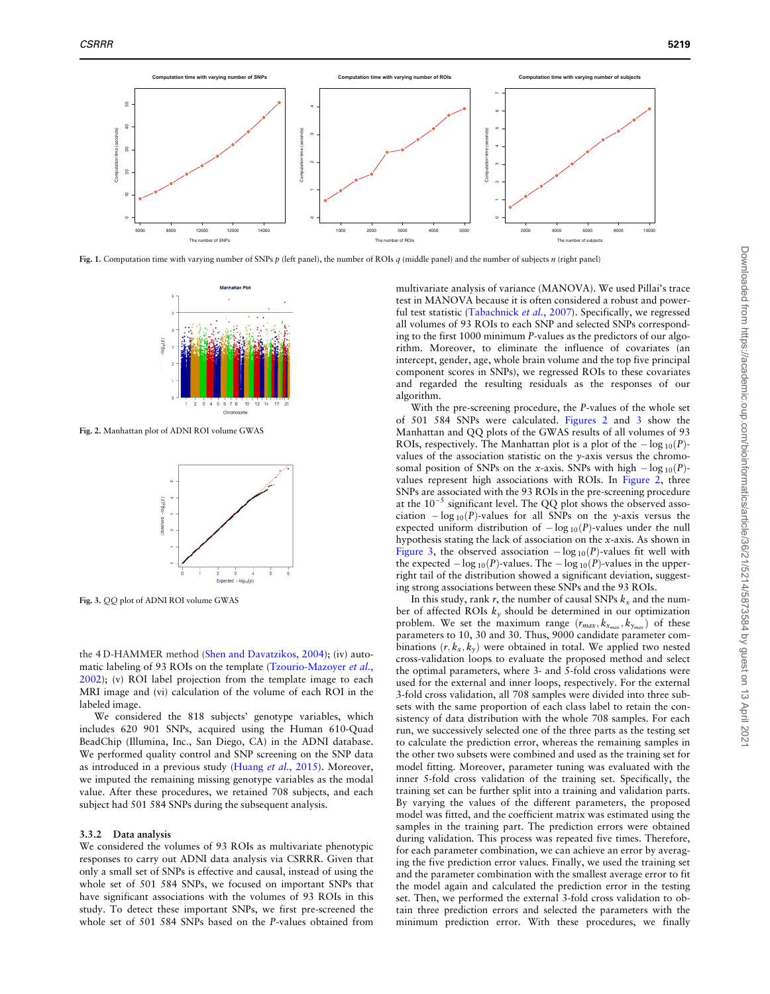<span id="page-5-0"></span>

Fig. 1. Computation time with varying number of SNPs  $p$  (left panel), the number of ROIs  $q$  (middle panel) and the number of subjects  $n$  (right panel)



Fig. 2. Manhattan plot of ADNI ROI volume GWAS



Fig. 3. QQ plot of ADNI ROI volume GWAS

the 4 D-HAMMER method [\(Shen and Davatzikos, 2004\)](#page-8-0); (iv) auto-matic labeling of 93 ROIs on the template ([Tzourio-Mazoyer](#page-8-0) et al., [2002\)](#page-8-0); (v) ROI label projection from the template image to each MRI image and (vi) calculation of the volume of each ROI in the labeled image.

We considered the 818 subjects' genotype variables, which includes 620 901 SNPs, acquired using the Human 610-Quad BeadChip (Illumina, Inc., San Diego, CA) in the ADNI database. We performed quality control and SNP screening on the SNP data as introduced in a previous study [\(Huang](#page-8-0) et al., 2015). Moreover, we imputed the remaining missing genotype variables as the modal value. After these procedures, we retained 708 subjects, and each subject had 501 584 SNPs during the subsequent analysis.

## 3.3.2 Data analysis

We considered the volumes of 93 ROIs as multivariate phenotypic responses to carry out ADNI data analysis via CSRRR. Given that only a small set of SNPs is effective and causal, instead of using the whole set of 501 584 SNPs, we focused on important SNPs that have significant associations with the volumes of 93 ROIs in this study. To detect these important SNPs, we first pre-screened the whole set of 501 584 SNPs based on the P-values obtained from multivariate analysis of variance (MANOVA). We used Pillai's trace test in MANOVA because it is often considered a robust and powerful test statistic ([Tabachnick](#page-8-0) et al., 2007). Specifically, we regressed all volumes of 93 ROIs to each SNP and selected SNPs corresponding to the first 1000 minimum P-values as the predictors of our algorithm. Moreover, to eliminate the influence of covariates (an intercept, gender, age, whole brain volume and the top five principal component scores in SNPs), we regressed ROIs to these covariates and regarded the resulting residuals as the responses of our algorithm.

With the pre-screening procedure, the P-values of the whole set of 501 584 SNPs were calculated. Figures 2 and 3 show the Manhattan and QQ plots of the GWAS results of all volumes of 93 ROIs, respectively. The Manhattan plot is a plot of the  $-\log_{10}(P)$ values of the association statistic on the y-axis versus the chromosomal position of SNPs on the x-axis. SNPs with high  $-\log_{10}(P)$ values represent high associations with ROIs. In Figure 2, three SNPs are associated with the 93 ROIs in the pre-screening procedure at the  $10^{-5}$  significant level. The QQ plot shows the observed association  $-\log_{10}(P)$ -values for all SNPs on the y-axis versus the expected uniform distribution of  $-\log_{10}(P)$ -values under the null hypothesis stating the lack of association on the x-axis. As shown in Figure 3, the observed association  $-\log_{10}(P)$ -values fit well with the expected  $-\log_{10}(P)$ -values. The  $-\log_{10}(P)$ -values in the upperright tail of the distribution showed a significant deviation, suggesting strong associations between these SNPs and the 93 ROIs.

In this study, rank r, the number of causal SNPs  $k_x$  and the number of affected ROIs  $k_y$  should be determined in our optimization problem. We set the maximum range  $(r_{max}, k_{x_{max}}, k_{y_{max}})$  of these parameters to 10, 30 and 30. Thus, 9000 candidate parameter combinations  $(r, k_x, k_y)$  were obtained in total. We applied two nested cross-validation loops to evaluate the proposed method and select the optimal parameters, where 3- and 5-fold cross validations were used for the external and inner loops, respectively. For the external 3-fold cross validation, all 708 samples were divided into three subsets with the same proportion of each class label to retain the consistency of data distribution with the whole 708 samples. For each run, we successively selected one of the three parts as the testing set to calculate the prediction error, whereas the remaining samples in the other two subsets were combined and used as the training set for model fitting. Moreover, parameter tuning was evaluated with the inner 5-fold cross validation of the training set. Specifically, the training set can be further split into a training and validation parts. By varying the values of the different parameters, the proposed model was fitted, and the coefficient matrix was estimated using the samples in the training part. The prediction errors were obtained during validation. This process was repeated five times. Therefore, for each parameter combination, we can achieve an error by averaging the five prediction error values. Finally, we used the training set and the parameter combination with the smallest average error to fit the model again and calculated the prediction error in the testing set. Then, we performed the external 3-fold cross validation to obtain three prediction errors and selected the parameters with the minimum prediction error. With these procedures, we finally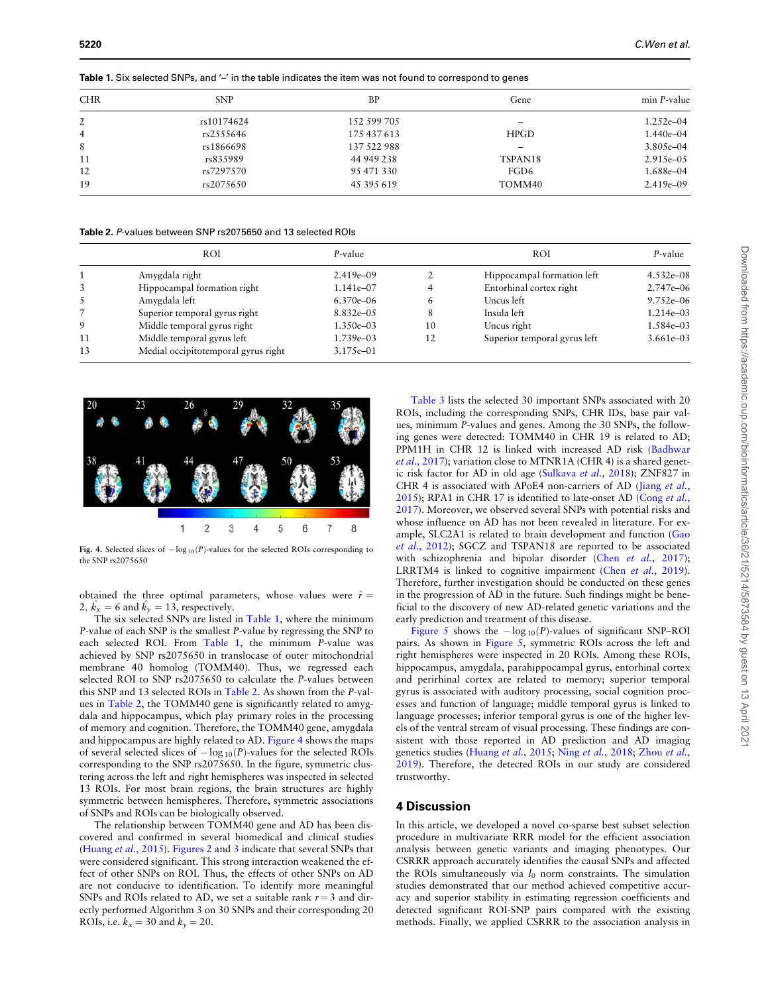<span id="page-6-0"></span>**5220** C.Wen et al.

Table 1. Six selected SNPs, and '–' in the table indicates the item was not found to correspond to genes

| <b>CHR</b>     | <b>SNP</b> | BP          | Gene        | min P-value   |
|----------------|------------|-------------|-------------|---------------|
| 2              | rs10174624 | 152 599 705 | -           | $1.252e - 04$ |
| $\overline{4}$ | rs2555646  | 175 437 613 | <b>HPGD</b> | $1.440e - 04$ |
| 8              | rs1866698  | 137 522 988 | -           | $3.805e-04$   |
| 11             | rs835989   | 44 949 238  | TSPAN18     | $2.915e-0.5$  |
| 12             | rs7297570  | 95 471 330  | FGD6        | 1.688e-04     |
| 19             | rs2075650  | 45 395 619  | TOMM40      | $2.419e - 09$ |

Table 2. P-values between SNP rs2075650 and 13 selected ROIs

|    | <b>ROI</b>                          | P-value        |    | <b>ROI</b>                   | P-value       |
|----|-------------------------------------|----------------|----|------------------------------|---------------|
|    | Amygdala right                      | $2.419e - 09$  |    | Hippocampal formation left   | $4.532e - 08$ |
| 3  | Hippocampal formation right         | 1.141e-07      |    | Entorhinal cortex right      | $2.747e - 06$ |
| 5  | Amygdala left                       | $6.370e - 06$  | 6  | Uncus left                   | $9.752e - 06$ |
|    | Superior temporal gyrus right       | $8.832e - 0.5$ | 8  | Insula left                  | 1.214e-03     |
| 9  | Middle temporal gyrus right         | 1.350e-03      | 10 | Uncus right                  | 1.584e-03     |
| 11 | Middle temporal gyrus left          | 1.739e-03      | 12 | Superior temporal gyrus left | $3.661e - 03$ |
| 13 | Medial occipitotemporal gyrus right | $3.175e - 01$  |    |                              |               |



Fig. 4. Selected slices of  $-\log_{10}(P)$ -values for the selected ROIs corresponding to the SNP rs2075650

obtained the three optimal parameters, whose values were  $\hat{r} =$ 2,  $\hat{k_x} = 6$  and  $\hat{k_y} = 13$ , respectively.

The six selected SNPs are listed in Table 1, where the minimum P-value of each SNP is the smallest P-value by regressing the SNP to each selected ROI. From Table 1, the minimum P-value was achieved by SNP rs2075650 in translocase of outer mitochondrial membrane 40 homolog (TOMM40). Thus, we regressed each selected ROI to SNP rs2075650 to calculate the P-values between this SNP and 13 selected ROIs in Table 2. As shown from the P-values in Table 2, the TOMM40 gene is significantly related to amygdala and hippocampus, which play primary roles in the processing of memory and cognition. Therefore, the TOMM40 gene, amygdala and hippocampus are highly related to AD. Figure 4 shows the maps of several selected slices of  $-\log_{10}(P)$ -values for the selected ROIs corresponding to the SNP rs2075650. In the figure, symmetric clustering across the left and right hemispheres was inspected in selected 13 ROIs. For most brain regions, the brain structures are highly symmetric between hemispheres. Therefore, symmetric associations of SNPs and ROIs can be biologically observed.

The relationship between TOMM40 gene and AD has been discovered and confirmed in several biomedical and clinical studies ([Huang](#page-8-0) et al., 2015). [Figures 2](#page-5-0) and [3](#page-5-0) indicate that several SNPs that were considered significant. This strong interaction weakened the effect of other SNPs on ROI. Thus, the effects of other SNPs on AD are not conducive to identification. To identify more meaningful SNPs and ROIs related to AD, we set a suitable rank  $r = 3$  and directly performed Algorithm 3 on 30 SNPs and their corresponding 20 ROIs, i.e.  $k_x = 30$  and  $k_y = 20$ .

[Table 3](#page-7-0) lists the selected 30 important SNPs associated with 20 ROIs, including the corresponding SNPs, CHR IDs, base pair values, minimum P-values and genes. Among the 30 SNPs, the following genes were detected: TOMM40 in CHR 19 is related to AD; PPM1H in CHR 12 is linked with increased AD risk [\(Badhwar](#page-7-0) et al.[, 2017\)](#page-7-0); variation close to MTNR1A (CHR 4) is a shared genetic risk factor for AD in old age [\(Sulkava](#page-8-0) et al., 2018); ZNF827 in CHR 4 is associated with APoE4 non-carriers of AD [\(Jiang](#page-8-0) et al., [2015\)](#page-8-0); RPA1 in CHR 17 is identified to late-onset AD ([Cong](#page-7-0) et al., [2017\)](#page-7-0). Moreover, we observed several SNPs with potential risks and whose influence on AD has not been revealed in literature. For example, SLC2A1 is related to brain development and function ([Gao](#page-8-0) et al.[, 2012\)](#page-8-0); SGCZ and TSPAN18 are reported to be associated with schizophrenia and bipolar disorder (Chen et al.[, 2017](#page-7-0)); LRRTM4 is linked to cognitive impairment (Chen et al.[, 2019](#page-7-0)). Therefore, further investigation should be conducted on these genes in the progression of AD in the future. Such findings might be beneficial to the discovery of new AD-related genetic variations and the early prediction and treatment of this disease.

[Figure 5](#page-7-0) shows the  $-\log_{10}(P)$ -values of significant SNP–ROI pairs. As shown in [Figure 5](#page-7-0), symmetric ROIs across the left and right hemispheres were inspected in 20 ROIs. Among these ROIs, hippocampus, amygdala, parahippocampal gyrus, entorhinal cortex and perirhinal cortex are related to memory; superior temporal gyrus is associated with auditory processing, social cognition processes and function of language; middle temporal gyrus is linked to language processes; inferior temporal gyrus is one of the higher levels of the ventral stream of visual processing. These findings are consistent with those reported in AD prediction and AD imaging genetics studies [\(Huang](#page-8-0) et al., 2015; Ning et al.[, 2018](#page-8-0); [Zhou](#page-8-0) et al., [2019\)](#page-8-0). Therefore, the detected ROIs in our study are considered trustworthy.

# 4 Discussion

In this article, we developed a novel co-sparse best subset selection procedure in multivariate RRR model for the efficient association analysis between genetic variants and imaging phenotypes. Our CSRRR approach accurately identifies the causal SNPs and affected the ROIs simultaneously via  $l_0$  norm constraints. The simulation studies demonstrated that our method achieved competitive accuracy and superior stability in estimating regression coefficients and detected significant ROI-SNP pairs compared with the existing methods. Finally, we applied CSRRR to the association analysis in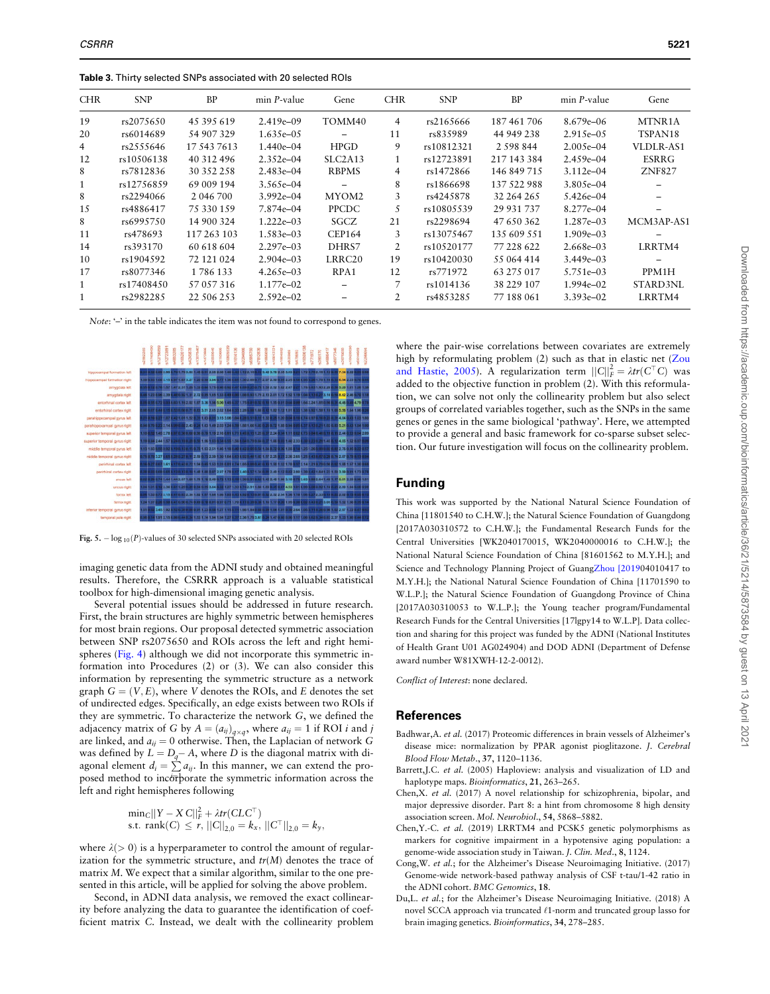<span id="page-7-0"></span>Table 3. Thirty selected SNPs associated with 20 selected ROIs

| <b>CHR</b>     | <b>SNP</b> | <b>BP</b>   | $min$ <i>P</i> -value | Gene                     | <b>CHR</b> | <b>SNP</b> | <b>BP</b>   | $min$ <i>P</i> -value | Gene          |
|----------------|------------|-------------|-----------------------|--------------------------|------------|------------|-------------|-----------------------|---------------|
| 19             | rs2075650  | 45 395 619  | $2.419e - 09$         | TOMM40                   | 4          | rs2165666  | 187 461 706 | $8.679e - 06$         | MTNR1A        |
| 20             | rs6014689  | 54 907 329  | $1.635e - 0.5$        | $\overline{\phantom{0}}$ | 11         | rs835989   | 44 949 238  | $2.915e - 0.5$        | TSPAN18       |
| $\overline{4}$ | rs2555646  | 17 543 7613 | $1.440e - 04$         | <b>HPGD</b>              | 9          | rs10812321 | 2.598.844   | $2.005e - 04$         | VLDLR-AS1     |
| 12             | rs10506138 | 40 312 496  | $2.352e - 04$         | SLC2A13                  |            | rs12723891 | 217 143 384 | $2.459e - 04$         | <b>ESRRG</b>  |
| 8              | rs7812836  | 30 352 258  | $2.483e - 04$         | <b>RBPMS</b>             | 4          | rs1472866  | 146 849 715 | $3.112e - 04$         | <b>ZNF827</b> |
| 1              | rs12756859 | 69 009 194  | 3.565e-04             |                          | 8          | rs1866698  | 137 522 988 | 3.805e-04             |               |
| 8              | rs2294066  | 2 046 700   | $3.992e - 04$         | MYOM2                    | 3          | rs4245878  | 32 264 265  | $5.426e - 04$         |               |
| 15             | rs4886417  | 75 330 159  | 7.874e-04             | PPCDC                    | 5          | rs10805539 | 29 931 737  | $8.277e - 04$         |               |
| 8              | rs6995750  | 14 900 324  | $1.222e - 03$         | SGCZ                     | 21         | rs2298694  | 47 650 362  | 1.287e-03             | MCM3AP-AS1    |
| 11             | rs478693   | 117 263 103 | 1.583e-03             | <b>CEP164</b>            | 3          | rs13075467 | 135 609 551 | $1.909e - 03$         |               |
| 14             | rs393170   | 60 618 604  | $2.297e - 03$         | DHRS7                    | 2          | rs10520177 | 77 228 622  | 2.668e-03             | LRRTM4        |
| 10             | rs1904592  | 72 121 024  | $2.904e - 0.3$        | LRRC <sub>20</sub>       | 19         | rs10420030 | 55 064 414  | $3.449e - 03$         |               |
| 17             | rs8077346  | 1786 133    | $4.265e - 03$         | RPA1                     | 12         | rs771972   | 63 275 017  | 5.751e-03             | PPM1H         |
| 1              | rs17408450 | 57 057 316  | $1.177e - 02$         |                          | 7          | rs1014136  | 38 229 107  | $1.994e - 02$         | STARD3NL      |
| 1              | rs2982285  | 22 506 253  | $2.592e - 02$         |                          | 2          | rs4853285  | 77 188 061  | $3.393e - 02$         | LRRTM4        |

Note: '-' in the table indicates the item was not found to correspond to genes.



Fig. 5.  $-$  log  $_{10}(P)$ -values of 30 selected SNPs associated with 20 selected ROIs

imaging genetic data from the ADNI study and obtained meaningful results. Therefore, the CSRRR approach is a valuable statistical toolbox for high-dimensional imaging genetic analysis.

Several potential issues should be addressed in future research. First, the brain structures are highly symmetric between hemispheres for most brain regions. Our proposal detected symmetric association between SNP rs2075650 and ROIs across the left and right hemispheres ([Fig. 4\)](#page-6-0) although we did not incorporate this symmetric information into Procedures (2) or (3). We can also consider this information by representing the symmetric structure as a network graph  $G = (V, E)$ , where V denotes the ROIs, and E denotes the set of undirected edges. Specifically, an edge exists between two ROIs if they are symmetric. To characterize the network G, we defined the adjacency matrix of G by  $A = (a_{ij})_{q \times q}$ , where  $a_{ij} = 1$  if ROI *i* and *j* are linked, and  $a_{ij} = 0$  otherwise. Then, the Laplacian of network G was defined by  $L = D_q - A$ , where D is the diagonal matrix with diagonal element  $d_i = \sum a_{ij}$ . In this manner, we can extend the proposed method to incorporate the symmetric information across the left and right hemispheres following

$$
\begin{array}{l}\n\min_{C}||Y - X C||_F^2 + \lambda tr(CLC^\top) \\
\text{s.t. } \text{rank}(C) \le r, ||C||_{2,0} = k_x, ||C^\top||_{2,0} = k_y,\n\end{array}
$$

where  $\lambda$ ( $>$  0) is a hyperparameter to control the amount of regularization for the symmetric structure, and  $tr(M)$  denotes the trace of matrix M. We expect that a similar algorithm, similar to the one presented in this article, will be applied for solving the above problem.

Second, in ADNI data analysis, we removed the exact collinearity before analyzing the data to guarantee the identification of coefficient matrix C. Instead, we dealt with the collinearity problem where the pair-wise correlations between covariates are extremely high by reformulating problem (2) such as that in elastic net ([Zou](#page-8-0) [and Hastie, 2005\)](#page-8-0). A regularization term  $||C||_F^2 = \lambda tr(C^\top C)$  was added to the objective function in problem (2). With this reformulation, we can solve not only the collinearity problem but also select groups of correlated variables together, such as the SNPs in the same genes or genes in the same biological 'pathway'. Here, we attempted to provide a general and basic framework for co-sparse subset selection. Our future investigation will focus on the collinearity problem.

# Funding

This work was supported by the National Natural Science Foundation of China [11801540 to C.H.W.]; the Natural Science Foundation of Guangdong [2017A030310572 to C.H.W.]; the Fundamental Research Funds for the Central Universities [WK2040170015, WK2040000016 to C.H.W.]; the National Natural Science Foundation of China [81601562 to M.Y.H.]; and Science and Technology Planning Project of Guang[Zhou \[2019](#page-8-0)04010417 to M.Y.H.]; the National Natural Science Foundation of China [11701590 to W.L.P.]; the Natural Science Foundation of Guangdong Province of China [2017A030310053 to W.L.P.]; the Young teacher program/Fundamental Research Funds for the Central Universities [17lgpy14 to W.L.P]. Data collection and sharing for this project was funded by the ADNI (National Institutes of Health Grant U01 AG024904) and DOD ADNI (Department of Defense award number W81XWH-12-2-0012).

Conflict of Interest: none declared.

#### References

- Badhwar,A. et al. (2017) Proteomic differences in brain vessels of Alzheimer's disease mice: normalization by PPAR agonist pioglitazone. J. Cerebral Blood Flow Metab., 37, 1120–1136.
- Barrett,J.C. et al. (2005) Haploview: analysis and visualization of LD and haplotype maps. Bioinformatics, 21, 263-265.
- Chen,X. et al. (2017) A novel relationship for schizophrenia, bipolar, and major depressive disorder. Part 8: a hint from chromosome 8 high density association screen. Mol. Neurobiol., 54, 5868–5882.
- Chen,Y.-C. et al. (2019) LRRTM4 and PCSK5 genetic polymorphisms as markers for cognitive impairment in a hypotensive aging population: a genome-wide association study in Taiwan. J. Clin. Med., 8, 1124.
- Cong,W. et al.; for the Alzheimer's Disease Neuroimaging Initiative. (2017) Genome-wide network-based pathway analysis of CSF t-tau/1-42 ratio in the ADNI cohort. BMC Genomics, 18.
- Du,L. et al.; for the Alzheimer's Disease Neuroimaging Initiative. (2018) A novel SCCA approach via truncated  $\ell$ 1-norm and truncated group lasso for brain imaging genetics. Bioinformatics, 34, 278–285.